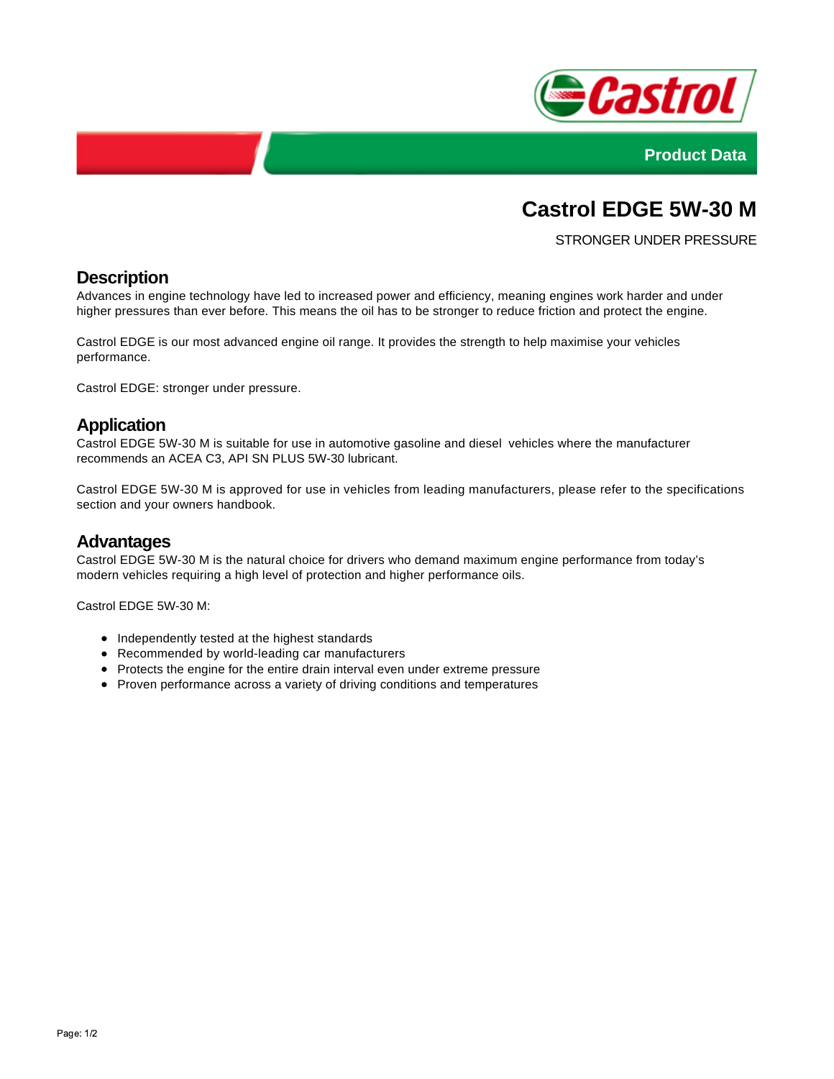



# **Castrol EDGE 5W-30 M**

STRONGER UNDER PRESSURE

### **Description**

Advances in engine technology have led to increased power and efficiency, meaning engines work harder and under higher pressures than ever before. This means the oil has to be stronger to reduce friction and protect the engine.

Castrol EDGE is our most advanced engine oil range. It provides the strength to help maximise your vehicles performance.

Castrol EDGE: stronger under pressure.

#### **Application**

Castrol EDGE 5W-30 M is suitable for use in automotive gasoline and diesel vehicles where the manufacturer recommends an ACEA C3, API SN PLUS 5W-30 lubricant.

Castrol EDGE 5W-30 M is approved for use in vehicles from leading manufacturers, please refer to the specifications section and your owners handbook.

#### **Advantages**

Castrol EDGE 5W-30 M is the natural choice for drivers who demand maximum engine performance from today's modern vehicles requiring a high level of protection and higher performance oils.

Castrol EDGE 5W-30 M:

- Independently tested at the highest standards
- Recommended by world-leading car manufacturers
- Protects the engine for the entire drain interval even under extreme pressure
- Proven performance across a variety of driving conditions and temperatures